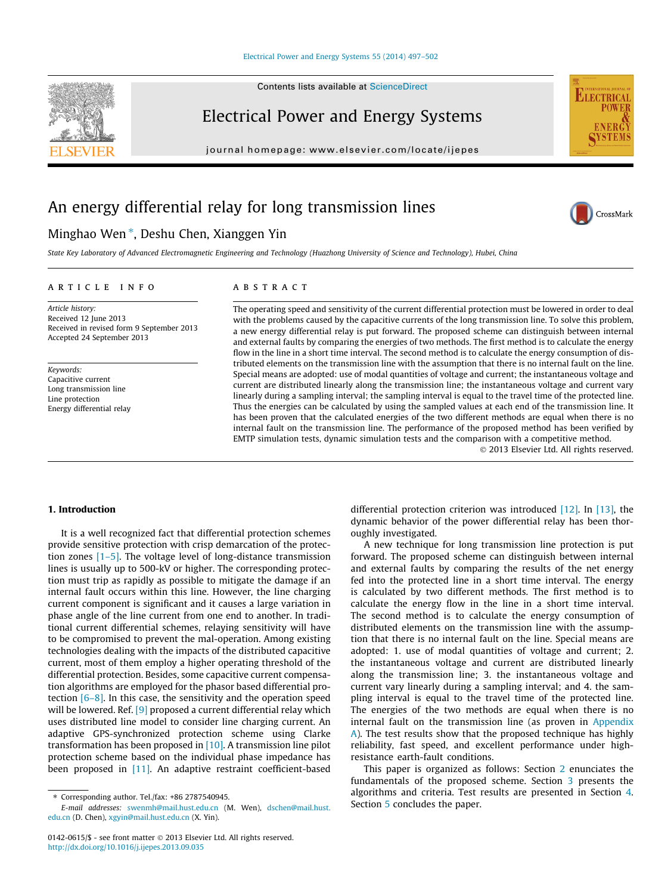#### [Electrical Power and Energy Systems 55 \(2014\) 497–502](http://dx.doi.org/10.1016/j.ijepes.2013.09.035)

Contents lists available at [ScienceDirect](http://www.sciencedirect.com/science/journal/01420615)

## Electrical Power and Energy Systems

journal homepage: [www.elsevier.com/locate/ijepes](http://www.elsevier.com/locate/ijepes)

# An energy differential relay for long transmission lines

### Minghao Wen<sup>\*</sup>, Deshu Chen, Xianggen Yin

State Key Laboratory of Advanced Electromagnetic Engineering and Technology (Huazhong University of Science and Technology), Hubei, China

#### article info

Article history: Received 12 June 2013 Received in revised form 9 September 2013 Accepted 24 September 2013

Keywords: Capacitive current Long transmission line Line protection Energy differential relay

#### **ABSTRACT**

The operating speed and sensitivity of the current differential protection must be lowered in order to deal with the problems caused by the capacitive currents of the long transmission line. To solve this problem, a new energy differential relay is put forward. The proposed scheme can distinguish between internal and external faults by comparing the energies of two methods. The first method is to calculate the energy flow in the line in a short time interval. The second method is to calculate the energy consumption of distributed elements on the transmission line with the assumption that there is no internal fault on the line. Special means are adopted: use of modal quantities of voltage and current; the instantaneous voltage and current are distributed linearly along the transmission line; the instantaneous voltage and current vary linearly during a sampling interval; the sampling interval is equal to the travel time of the protected line. Thus the energies can be calculated by using the sampled values at each end of the transmission line. It has been proven that the calculated energies of the two different methods are equal when there is no internal fault on the transmission line. The performance of the proposed method has been verified by EMTP simulation tests, dynamic simulation tests and the comparison with a competitive method.

- 2013 Elsevier Ltd. All rights reserved.

#### 1. Introduction

It is a well recognized fact that differential protection schemes provide sensitive protection with crisp demarcation of the protection zones [\[1–5\].](#page--1-0) The voltage level of long-distance transmission lines is usually up to 500-kV or higher. The corresponding protection must trip as rapidly as possible to mitigate the damage if an internal fault occurs within this line. However, the line charging current component is significant and it causes a large variation in phase angle of the line current from one end to another. In traditional current differential schemes, relaying sensitivity will have to be compromised to prevent the mal-operation. Among existing technologies dealing with the impacts of the distributed capacitive current, most of them employ a higher operating threshold of the differential protection. Besides, some capacitive current compensation algorithms are employed for the phasor based differential protection  $[6-8]$ . In this case, the sensitivity and the operation speed will be lowered. Ref. [\[9\]](#page--1-0) proposed a current differential relay which uses distributed line model to consider line charging current. An adaptive GPS-synchronized protection scheme using Clarke transformation has been proposed in [\[10\]](#page--1-0). A transmission line pilot protection scheme based on the individual phase impedance has been proposed in [\[11\]](#page--1-0). An adaptive restraint coefficient-based

differential protection criterion was introduced [\[12\]](#page--1-0). In [\[13\],](#page--1-0) the dynamic behavior of the power differential relay has been thoroughly investigated.

A new technique for long transmission line protection is put forward. The proposed scheme can distinguish between internal and external faults by comparing the results of the net energy fed into the protected line in a short time interval. The energy is calculated by two different methods. The first method is to calculate the energy flow in the line in a short time interval. The second method is to calculate the energy consumption of distributed elements on the transmission line with the assumption that there is no internal fault on the line. Special means are adopted: 1. use of modal quantities of voltage and current; 2. the instantaneous voltage and current are distributed linearly along the transmission line; 3. the instantaneous voltage and current vary linearly during a sampling interval; and 4. the sampling interval is equal to the travel time of the protected line. The energies of the two methods are equal when there is no internal fault on the transmission line (as proven in [Appendix](#page--1-0) [A\)](#page--1-0). The test results show that the proposed technique has highly reliability, fast speed, and excellent performance under highresistance earth-fault conditions.

This paper is organized as follows: Section [2](#page-1-0) enunciates the fundamentals of the proposed scheme. Section [3](#page-1-0) presents the algorithms and criteria. Test results are presented in Section [4.](#page--1-0) Section [5](#page--1-0) concludes the paper.





CrossMark

 $*$  Corresponding author. Tel./fax:  $+86$  2787540945.

E-mail addresses: [swenmh@mail.hust.edu.cn](mailto:swenmh@mail.hust.edu.cn) (M. Wen), [dschen@mail.hust.](mailto:dschen@mail.hust.edu.cn) [edu.cn](mailto:dschen@mail.hust.edu.cn) (D. Chen), [xgyin@mail.hust.edu.cn](mailto:xgyin@mail.hust.edu.cn) (X. Yin).

<sup>0142-0615/\$ -</sup> see front matter © 2013 Elsevier Ltd. All rights reserved. <http://dx.doi.org/10.1016/j.ijepes.2013.09.035>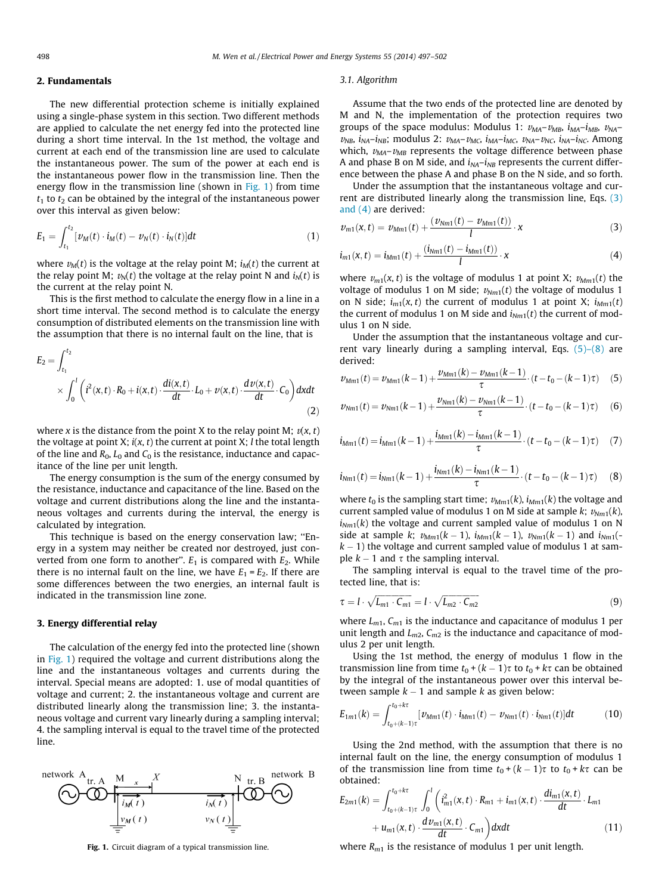#### <span id="page-1-0"></span>2. Fundamentals

The new differential protection scheme is initially explained using a single-phase system in this section. Two different methods are applied to calculate the net energy fed into the protected line during a short time interval. In the 1st method, the voltage and current at each end of the transmission line are used to calculate the instantaneous power. The sum of the power at each end is the instantaneous power flow in the transmission line. Then the energy flow in the transmission line (shown in Fig. 1) from time  $t_1$  to  $t_2$  can be obtained by the integral of the instantaneous power over this interval as given below:

$$
E_1 = \int_{t_1}^{t_2} [\nu_M(t) \cdot i_M(t) - \nu_N(t) \cdot i_N(t)] dt \tag{1}
$$

where  $v_M(t)$  is the voltage at the relay point M;  $i_M(t)$  the current at the relay point M;  $v_N(t)$  the voltage at the relay point N and  $i_N(t)$  is the current at the relay point N.

This is the first method to calculate the energy flow in a line in a short time interval. The second method is to calculate the energy consumption of distributed elements on the transmission line with the assumption that there is no internal fault on the line, that is

$$
E_2 = \int_{t_1}^{t_2} \times \int_0^l \left( i^2(x, t) \cdot R_0 + i(x, t) \cdot \frac{di(x, t)}{dt} \cdot L_0 + \nu(x, t) \cdot \frac{d\nu(x, t)}{dt} \cdot C_0 \right) dx dt
$$
\n(2)

where x is the distance from the point X to the relay point M;  $v(x, t)$ the voltage at point X;  $i(x, t)$  the current at point X; *l* the total length of the line and  $R_0$ ,  $L_0$  and  $C_0$  is the resistance, inductance and capacitance of the line per unit length.

The energy consumption is the sum of the energy consumed by the resistance, inductance and capacitance of the line. Based on the voltage and current distributions along the line and the instantaneous voltages and currents during the interval, the energy is calculated by integration.

This technique is based on the energy conservation law; ''Energy in a system may neither be created nor destroyed, just converted from one form to another".  $E_1$  is compared with  $E_2$ . While there is no internal fault on the line, we have  $E_1 = E_2$ . If there are some differences between the two energies, an internal fault is indicated in the transmission line zone.

#### 3. Energy differential relay

The calculation of the energy fed into the protected line (shown in Fig. 1) required the voltage and current distributions along the line and the instantaneous voltages and currents during the interval. Special means are adopted: 1. use of modal quantities of voltage and current; 2. the instantaneous voltage and current are distributed linearly along the transmission line; 3. the instantaneous voltage and current vary linearly during a sampling interval; 4. the sampling interval is equal to the travel time of the protected line.



#### 3.1. Algorithm

Assume that the two ends of the protected line are denoted by M and N, the implementation of the protection requires two groups of the space modulus: Modulus 1:  $v_{MA}-v_{MB}$ ,  $i_{MA}-i_{MB}$ ,  $v_{NA}$  $v_{NB}$ ,  $i_{NA}-i_{NB}$ ; modulus 2:  $v_{MA}-v_{MC}$ ,  $i_{MA}-i_{MC}$ ,  $v_{NA}-v_{NC}$ ,  $i_{NA}-i_{NC}$ . Among which,  $v_{\text{MA}}-v_{\text{MB}}$  represents the voltage difference between phase A and phase B on M side, and  $i_{NA}-i_{NB}$  represents the current difference between the phase A and phase B on the N side, and so forth.

Under the assumption that the instantaneous voltage and current are distributed linearly along the transmission line, Eqs.  $(3)$ and (4) are derived:

$$
v_{m1}(x,t) = v_{Mm1}(t) + \frac{(v_{Nm1}(t) - v_{Mm1}(t))}{l} \cdot x
$$
 (3)

$$
i_{m1}(x,t) = i_{Mm1}(t) + \frac{(i_{Mm1}(t) - i_{Mm1}(t))}{l} \cdot x \tag{4}
$$

where  $v_{m1}(x, t)$  is the voltage of modulus 1 at point X;  $v_{Mm1}(t)$  the voltage of modulus 1 on M side;  $v_{Nm1}(t)$  the voltage of modulus 1 on N side;  $i_{m1}(x, t)$  the current of modulus 1 at point X;  $i_{Mm1}(t)$ the current of modulus 1 on M side and  $i_{Nm1}(t)$  the current of modulus 1 on N side.

Under the assumption that the instantaneous voltage and current vary linearly during a sampling interval, Eqs.  $(5)-(8)$  are derived:

$$
\nu_{Mm1}(t) = \nu_{Mm1}(k-1) + \frac{\nu_{Mm1}(k) - \nu_{Mm1}(k-1)}{\tau} \cdot (t - t_0 - (k-1)\tau) \tag{5}
$$

$$
\nu_{Nm1}(t) = \nu_{Nm1}(k-1) + \frac{\nu_{Nm1}(k) - \nu_{Nm1}(k-1)}{\tau} \cdot (t - t_0 - (k-1)\tau) \tag{6}
$$

$$
i_{Mm1}(t) = i_{Mm1}(k-1) + \frac{i_{Mm1}(k) - i_{Mm1}(k-1)}{\tau} \cdot (t - t_0 - (k-1)\tau) \tag{7}
$$

$$
i_{Nm1}(t) = i_{Nm1}(k-1) + \frac{i_{Nm1}(k) - i_{Nm1}(k-1)}{\tau} \cdot (t - t_0 - (k-1)\tau)
$$
 (8)

where  $t_0$  is the sampling start time;  $v_{Mm1}(k)$ ,  $i_{Mm1}(k)$  the voltage and current sampled value of modulus 1 on M side at sample  $k$ ;  $v_{Nm1}(k)$ ,  $i_{Nm1}(k)$  the voltage and current sampled value of modulus 1 on N side at sample k;  $v_{Mm1}(k - 1)$ ,  $i_{Mm1}(k - 1)$ ,  $v_{Nm1}(k - 1)$  and  $i_{Nm1}($  $k - 1$ ) the voltage and current sampled value of modulus 1 at sample  $k - 1$  and  $\tau$  the sampling interval.

The sampling interval is equal to the travel time of the protected line, that is:

$$
\tau = l \cdot \sqrt{L_{m1} \cdot C_{m1}} = l \cdot \sqrt{L_{m2} \cdot C_{m2}} \tag{9}
$$

where  $L_{m1}$ ,  $C_{m1}$  is the inductance and capacitance of modulus 1 per unit length and  $L_{m2}$ ,  $C_{m2}$  is the inductance and capacitance of modulus 2 per unit length.

Using the 1st method, the energy of modulus 1 flow in the transmission line from time  $t_0 + (k - 1)\tau$  to  $t_0 + k\tau$  can be obtained by the integral of the instantaneous power over this interval between sample  $k - 1$  and sample k as given below:

$$
E_{1m1}(k) = \int_{t_0 + (k-1)\tau}^{t_0 + k\tau} [\nu_{Mm1}(t) \cdot i_{Mm1}(t) - \nu_{Nm1}(t) \cdot i_{Nm1}(t)] dt \qquad (10)
$$

Using the 2nd method, with the assumption that there is no internal fault on the line, the energy consumption of modulus 1 of the transmission line from time  $t_0 + (k - 1)\tau$  to  $t_0 + k\tau$  can be obtained:

$$
E_{2m1}(k) = \int_{t_0 + (k-1)\tau}^{t_0 + k\tau} \int_0^l \left( i_{m1}^2(x, t) \cdot R_{m1} + i_{m1}(x, t) \cdot \frac{di_{m1}(x, t)}{dt} \cdot L_{m1} + u_{m1}(x, t) \cdot \frac{dv_{m1}(x, t)}{dt} \cdot C_{m1} \right) dx dt \tag{11}
$$

Fig. 1. Circuit diagram of a typical transmission line. where  $R_{m1}$  is the resistance of modulus 1 per unit length.